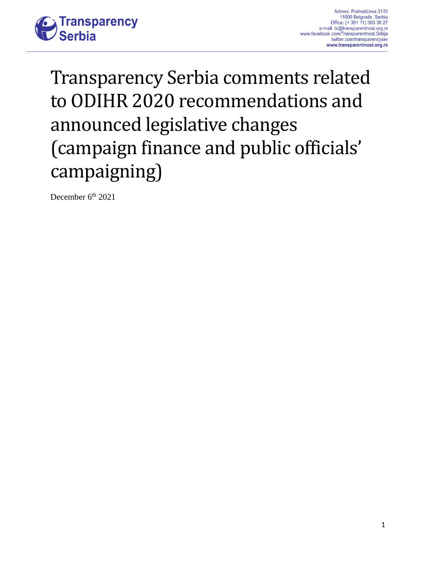

# Transparency Serbia comments related to ODIHR 2020 recommendations and announced legislative changes (campaign finance and public officials' campaigning)

December 6<sup>th</sup> 2021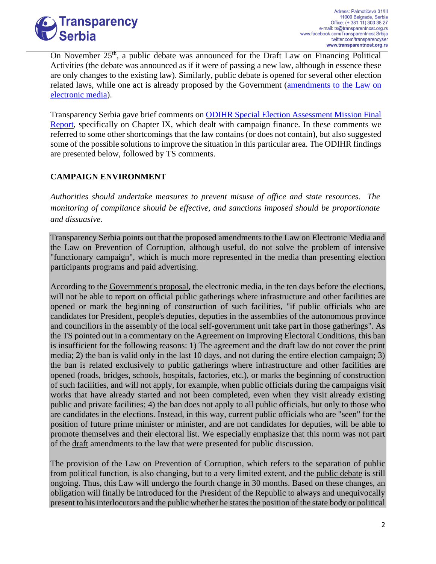

On November 25<sup>th</sup>, a public debate was announced for the Draft Law on Financing Political Activities (the debate was announced as if it were of passing a new law, although in essence these are only changes to the existing law). Similarly, public debate is opened for several other election related laws, while one act is already proposed by the Government [\(amendments to the Law on](http://www.parlament.gov.rs/upload/archive/files/cir/pdf/predlozi_zakona/2021/2210-21.pdf)  [electronic media\)](http://www.parlament.gov.rs/upload/archive/files/cir/pdf/predlozi_zakona/2021/2210-21.pdf).

Transparency Serbia gave brief comments on [ODIHR Special Election Assessment Mission Final](file:///C:/Users/Milos%20Djordjevic/Downloads/Special%20Election%20Assessment%20Mission%20Final%20Report)  [Report,](file:///C:/Users/Milos%20Djordjevic/Downloads/Special%20Election%20Assessment%20Mission%20Final%20Report) specifically on Chapter IX, which dealt with campaign finance. In these comments we referred to some other shortcomings that the law contains (or does not contain), but also suggested some of the possible solutions to improve the situation in this particular area. The ODIHR findings are presented below, followed by TS comments.

## **CAMPAIGN ENVIRONMENT**

*Authorities should undertake measures to prevent misuse of office and state resources. The monitoring of compliance should be effective, and sanctions imposed should be proportionate and dissuasive.*

Transparency Serbia points out that the proposed amendments to the Law on Electronic Media and the Law on Prevention of Corruption, although useful, do not solve the problem of intensive "functionary campaign", which is much more represented in the media than presenting election participants programs and paid advertising.

According to the [Government's proposal,](https://www.srbija.gov.rs/vest/595033/vlada-usvojila-predlog-zakona-o-trzistu-kapitala.php) the electronic media, in the ten days before the elections, will not be able to report on official public gatherings where infrastructure and other facilities are opened or mark the beginning of construction of such facilities, "if public officials who are candidates for President, people's deputies, deputies in the assemblies of the autonomous province and councillors in the assembly of the local self-government unit take part in those gatherings". As the TS pointed out in a commentary on the Agreement on Improving Electoral Conditions, this ban is insufficient for the following reasons: 1) The agreement and the draft law do not cover the print media; 2) the ban is valid only in the last 10 days, and not during the entire election campaign; 3) the ban is related exclusively to public gatherings where infrastructure and other facilities are opened (roads, bridges, schools, hospitals, factories, etc.), or marks the beginning of construction of such facilities, and will not apply, for example, when public officials during the campaigns visit works that have already started and not been completed, even when they visit already existing public and private facilities; 4) the ban does not apply to all public officials, but only to those who are candidates in the elections. Instead, in this way, current public officials who are "seen" for the position of future prime minister or minister, and are not candidates for deputies, will be able to promote themselves and their electoral list. We especially emphasize that this norm was not part of the [draft](https://www.kultura.gov.rs/extfile/sr/7859/%D0%9D%D0%B0%D1%86%D1%80%D1%82%20%D0%B7%D0%B0%D0%BA%D0%BE%D0%BD%D0%B0%20%D0%BE%20%D0%B8%D0%B7%D0%BC%D0%B5%D0%BD%D0%B8%20%D0%97%D0%B0%D0%BA%D0%BE%D0%BD%D0%B0%20%D0%BE%20%D0%B5%D0%BB%D0%B5%D0%BA%D1%82%D1%80%D0%BE%D0%BD%D1%81%D0%BA%D0%B8%D0%BC%20%D0%BC%D0%B5%D0%B4%D0%B8%D1%98%D0%B8%D0%BC%D0%B0..docx) amendments to the law that were presented for public discussion.

The provision of the Law on Prevention of Corruption, which refers to the separation of public from political function, is also changing, but to a very limited extent, and the [public debate](https://www.mpravde.gov.rs/sr/sekcija/53/radne-verzije-propisa.php) is still ongoing. Thus, this [Law](http://www.pravno-informacioni-sistem.rs/SlGlasnikPortal/eli/rep/sgrs/skupstina/zakon/2019/35/3/reg) will undergo the fourth change in 30 months. Based on these changes, an obligation will finally be introduced for the President of the Republic to always and unequivocally present to his interlocutors and the public whether he states the position of the state body or political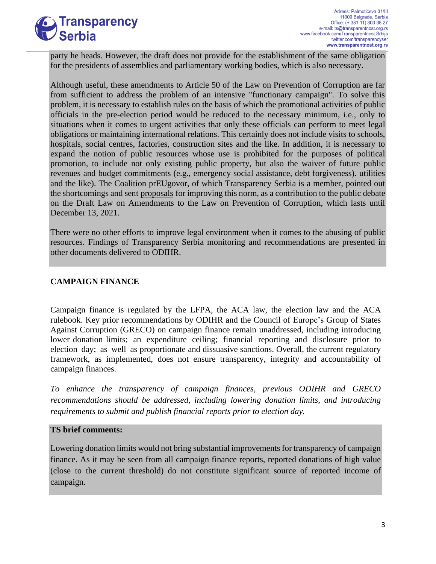

party he heads. However, the draft does not provide for the establishment of the same obligation for the presidents of assemblies and parliamentary working bodies, which is also necessary.

Although useful, these amendments to Article 50 of the Law on Prevention of Corruption are far from sufficient to address the problem of an intensive "functionary campaign". To solve this problem, it is necessary to establish rules on the basis of which the promotional activities of public officials in the pre-election period would be reduced to the necessary minimum, i.e., only to situations when it comes to urgent activities that only these officials can perform to meet legal obligations or maintaining international relations. This certainly does not include visits to schools, hospitals, social centres, factories, construction sites and the like. In addition, it is necessary to expand the notion of public resources whose use is prohibited for the purposes of political promotion, to include not only existing public property, but also the waiver of future public revenues and budget commitments (e.g., emergency social assistance, debt forgiveness). utilities and the like). The Coalition prEUgovor, of which Transparency Serbia is a member, pointed out the shortcomings and sent [proposals](https://www.preugovor.org/Amandmani/1694/Javni-funkcioneri-u-izbornoj-kampanji.shtml) for improving this norm, as a contribution to the public debate on the Draft Law on Amendments to the Law on Prevention of Corruption, which lasts until December 13, 2021.

There were no other efforts to improve legal environment when it comes to the abusing of public resources. Findings of Transparency Serbia monitoring and recommendations are presented in other documents delivered to ODIHR.

## **CAMPAIGN FINANCE**

Campaign finance is regulated by the LFPA, the ACA law, the election law and the ACA rulebook. Key prior recommendations by ODIHR and the Council of Europe's Group of States Against Corruption (GRECO) on campaign finance remain unaddressed, including introducing lower donation limits; an expenditure ceiling; financial reporting and disclosure prior to election day; as well as proportionate and dissuasive sanctions. Overall, the current regulatory framework, as implemented, does not ensure transparency, integrity and accountability of campaign finances.

*To enhance the transparency of campaign finances, previous ODIHR and GRECO recommendations should be addressed, including lowering donation limits, and introducing requirements to submit and publish financial reports prior to election day.*

#### **TS brief comments:**

Lowering donation limits would not bring substantial improvements for transparency of campaign finance. As it may be seen from all campaign finance reports, reported donations of high value (close to the current threshold) do not constitute significant source of reported income of campaign.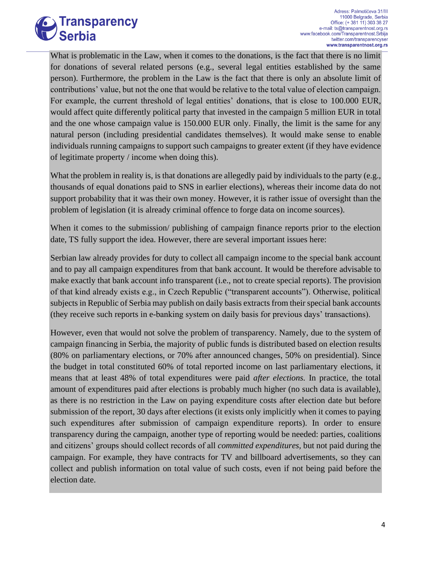

What is problematic in the Law, when it comes to the donations, is the fact that there is no limit for donations of several related persons (e.g., several legal entities established by the same person). Furthermore, the problem in the Law is the fact that there is only an absolute limit of contributions' value, but not the one that would be relative to the total value of election campaign. For example, the current threshold of legal entities' donations, that is close to 100.000 EUR, would affect quite differently political party that invested in the campaign 5 million EUR in total and the one whose campaign value is 150.000 EUR only. Finally, the limit is the same for any natural person (including presidential candidates themselves). It would make sense to enable individuals running campaigns to support such campaigns to greater extent (if they have evidence of legitimate property / income when doing this).

What the problem in reality is, is that donations are allegedly paid by individuals to the party (e.g., thousands of equal donations paid to SNS in earlier elections), whereas their income data do not support probability that it was their own money. However, it is rather issue of oversight than the problem of legislation (it is already criminal offence to forge data on income sources).

When it comes to the submission/ publishing of campaign finance reports prior to the election date, TS fully support the idea. However, there are several important issues here:

Serbian law already provides for duty to collect all campaign income to the special bank account and to pay all campaign expenditures from that bank account. It would be therefore advisable to make exactly that bank account info transparent (i.e., not to create special reports). The provision of that kind already exists e.g., in Czech Republic ("transparent accounts"). Otherwise, political subjects in Republic of Serbia may publish on daily basis extracts from their special bank accounts (they receive such reports in e-banking system on daily basis for previous days' transactions).

However, even that would not solve the problem of transparency. Namely, due to the system of campaign financing in Serbia, the majority of public funds is distributed based on election results (80% on parliamentary elections, or 70% after announced changes, 50% on presidential). Since the budget in total constituted 60% of total reported income on last parliamentary elections, it means that at least 48% of total expenditures were paid *after elections.* In practice, the total amount of expenditures paid after elections is probably much higher (no such data is available), as there is no restriction in the Law on paying expenditure costs after election date but before submission of the report, 30 days after elections (it exists only implicitly when it comes to paying such expenditures after submission of campaign expenditure reports). In order to ensure transparency during the campaign, another type of reporting would be needed: parties, coalitions and citizens' groups should collect records of all *committed expenditures,* but not paid during the campaign. For example, they have contracts for TV and billboard advertisements, so they can collect and publish information on total value of such costs, even if not being paid before the election date.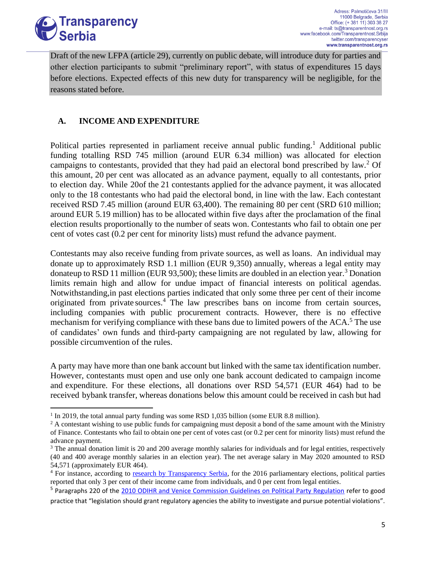

Draft of the new LFPA (article 29), currently on public debate, will introduce duty for parties and other election participants to submit "preliminary report", with status of expenditures 15 days before elections. Expected effects of this new duty for transparency will be negligible, for the reasons stated before.

## **A. INCOME AND EXPENDITURE**

Political parties represented in parliament receive annual public funding.<sup>1</sup> Additional public funding totalling RSD 745 million (around EUR 6.34 million) was allocated for election campaigns to contestants, provided that they had paid an electoral bond prescribed by law.<sup>2</sup> Of this amount, 20 per cent was allocated as an advance payment, equally to all contestants, prior to election day. While 20of the 21 contestants applied for the advance payment, it was allocated only to the 18 contestants who had paid the electoral bond, in line with the law. Each contestant received RSD 7.45 million (around EUR 63,400). The remaining 80 per cent (SRD 610 million; around EUR 5.19 million) has to be allocated within five days after the proclamation of the final election results proportionally to the number of seats won. Contestants who fail to obtain one per cent of votes cast (0.2 per cent for minority lists) must refund the advance payment.

Contestants may also receive funding from private sources, as well as loans. An individual may donate up to approximately RSD 1.1 million (EUR 9,350) annually, whereas a legal entity may donateup to RSD 11 million (EUR 93,500); these limits are doubled in an election year.<sup>3</sup> Donation limits remain high and allow for undue impact of financial interests on political agendas. Notwithstanding,in past elections parties indicated that only some three per cent of their income originated from private sources.<sup>4</sup> The law prescribes bans on income from certain sources, including companies with public procurement contracts. However, there is no effective mechanism for verifying compliance with these bans due to limited powers of the ACA.<sup>5</sup> The use of candidates' own funds and third-party campaigning are not regulated by law, allowing for possible circumvention of the rules.

A party may have more than one bank account but linked with the same tax identification number. However, contestants must open and use only one bank account dedicated to campaign income and expenditure. For these elections, all donations over RSD 54,571 (EUR 464) had to be received bybank transfer, whereas donations below this amount could be received in cash but had

<sup>&</sup>lt;sup>1</sup> In 2019, the total annual party funding was some RSD 1,035 billion (some EUR 8.8 million).

 $2 A$  contestant wishing to use public funds for campaigning must deposit a bond of the same amount with the Ministry of Finance. Contestants who fail to obtain one per cent of votes cast (or 0.2 per cent for minority lists) must refund the advance payment.

<sup>&</sup>lt;sup>3</sup> The annual donation limit is 20 and 200 average monthly salaries for individuals and for legal entities, respectively (40 and 400 average monthly salaries in an election year). The net average salary in May 2020 amounted to RSD 54,571 (approximately EUR 464).

<sup>4</sup> For instance, according to [research by Transparency Serbia,](https://www.transparentnost.org.rs/images/dokumenti_uz_vesti/Nalaz_o_monitoringu_izborne_kampanje_TS_jul-2016.pdf) for the 2016 parliamentary elections, political parties reported that only 3 per cent of their income came from individuals, and 0 per cent from legal entities.

<sup>&</sup>lt;sup>5</sup> Paragraphs 220 of the [2010 ODIHR and Venice Commission Guidelines on Political Party Regulation](https://www.osce.org/files/f/documents/2/b/77812.pdf) refer to good

practice that "legislation should grant regulatory agencies the ability to investigate and pursue potential violations".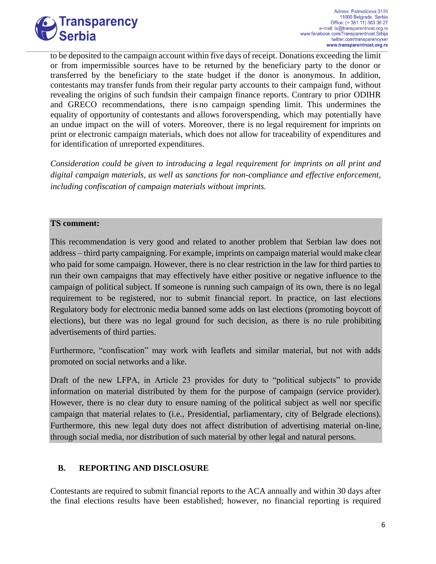

to be deposited to the campaign account within five days of receipt. Donations exceeding the limit or from impermissible sources have to be returned by the beneficiary party to the donor or transferred by the beneficiary to the state budget if the donor is anonymous. In addition, contestants may transfer funds from their regular party accounts to their campaign fund, without revealing the origins of such fundsin their campaign finance reports. Contrary to prior ODIHR and GRECO recommendations, there is no campaign spending limit. This undermines the equality of opportunity of contestants and allows foroverspending, which may potentially have an undue impact on the will of voters. Moreover, there is no legal requirement for imprints on print or electronic campaign materials, which does not allow for traceability of expenditures and for identification of unreported expenditures.

*Consideration could be given to introducing a legal requirement for imprints on all print and digital campaign materials, as well as sanctions for non-compliance and effective enforcement, including confiscation of campaign materials without imprints.*

#### **TS comment:**

This recommendation is very good and related to another problem that Serbian law does not address – third party campaigning. For example, imprints on campaign material would make clear who paid for some campaign. However, there is no clear restriction in the law for third parties to run their own campaigns that may effectively have either positive or negative influence to the campaign of political subject. If someone is running such campaign of its own, there is no legal requirement to be registered, nor to submit financial report. In practice, on last elections Regulatory body for electronic media banned some adds on last elections (promoting boycott of elections), but there was no legal ground for such decision, as there is no rule prohibiting advertisements of third parties.

Furthermore, "confiscation" may work with leaflets and similar material, but not with adds promoted on social networks and a like.

Draft of the new LFPA, in Article 23 provides for duty to "political subjects" to provide information on material distributed by them for the purpose of campaign (service provider). However, there is no clear duty to ensure naming of the political subject as well nor specific campaign that material relates to (i.e., Presidential, parliamentary, city of Belgrade elections). Furthermore, this new legal duty does not affect distribution of advertising material on-line, through social media, nor distribution of such material by other legal and natural persons.

## **B. REPORTING AND DISCLOSURE**

Contestants are required to submit financial reports to the ACA annually and within 30 days after the final elections results have been established; however, no financial reporting is required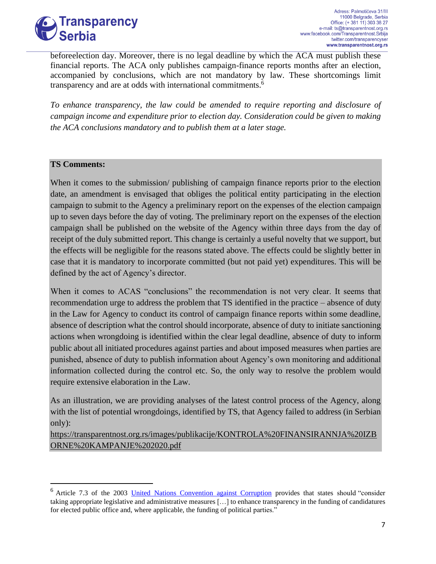

beforeelection day. Moreover, there is no legal deadline by which the ACA must publish these financial reports. The ACA only publishes campaign-finance reports months after an election, accompanied by conclusions, which are not mandatory by law. These shortcomings limit transparency and are at odds with international commitments.<sup>6</sup>

*To enhance transparency, the law could be amended to require reporting and disclosure of campaign income and expenditure prior to election day. Consideration could be given to making the ACA conclusions mandatory and to publish them at a later stage.*

#### **TS Comments:**

When it comes to the submission/ publishing of campaign finance reports prior to the election date, an amendment is envisaged that obliges the political entity participating in the election campaign to submit to the Agency a preliminary report on the expenses of the election campaign up to seven days before the day of voting. The preliminary report on the expenses of the election campaign shall be published on the website of the Agency within three days from the day of receipt of the duly submitted report. This change is certainly a useful novelty that we support, but the effects will be negligible for the reasons stated above. The effects could be slightly better in case that it is mandatory to incorporate committed (but not paid yet) expenditures. This will be defined by the act of Agency's director.

When it comes to ACAS "conclusions" the recommendation is not very clear. It seems that recommendation urge to address the problem that TS identified in the practice – absence of duty in the Law for Agency to conduct its control of campaign finance reports within some deadline, absence of description what the control should incorporate, absence of duty to initiate sanctioning actions when wrongdoing is identified within the clear legal deadline, absence of duty to inform public about all initiated procedures against parties and about imposed measures when parties are punished, absence of duty to publish information about Agency's own monitoring and additional information collected during the control etc. So, the only way to resolve the problem would require extensive elaboration in the Law.

As an illustration, we are providing analyses of the latest control process of the Agency, along with the list of potential wrongdoings, identified by TS, that Agency failed to address (in Serbian only):

[https://transparentnost.org.rs/images/publikacije/KONTROLA%20FINANSIRANNJA%20IZB](https://transparentnost.org.rs/images/publikacije/KONTROLA%20FINANSIRANNJA%20IZBORNE%20KAMPANJE%202020.pdf) [ORNE%20KAMPANJE%202020.pdf](https://transparentnost.org.rs/images/publikacije/KONTROLA%20FINANSIRANNJA%20IZBORNE%20KAMPANJE%202020.pdf)

<sup>&</sup>lt;sup>6</sup> Article 7.3 of the 2003 United Nations [Convention](https://www.unodc.org/documents/brussels/UN_Convention_Against_Corruption.pdf) against Corruption provides that states should "consider taking appropriate legislative and administrative measures […] to enhance transparency in the funding of candidatures for elected public office and, where applicable, the funding of political parties."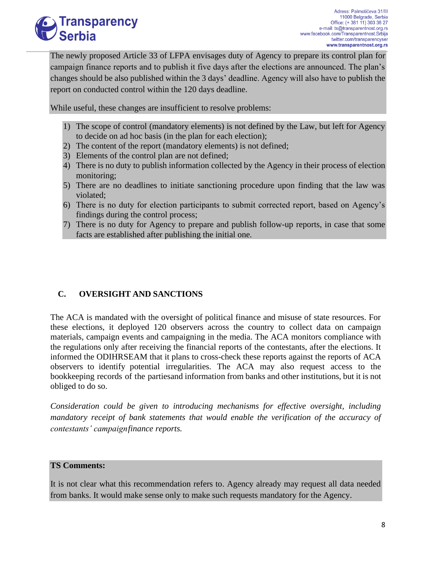

The newly proposed Article 33 of LFPA envisages duty of Agency to prepare its control plan for campaign finance reports and to publish it five days after the elections are announced. The plan's changes should be also published within the 3 days' deadline. Agency will also have to publish the report on conducted control within the 120 days deadline.

While useful, these changes are insufficient to resolve problems:

- 1) The scope of control (mandatory elements) is not defined by the Law, but left for Agency to decide on ad hoc basis (in the plan for each election);
- 2) The content of the report (mandatory elements) is not defined;
- 3) Elements of the control plan are not defined;
- 4) There is no duty to publish information collected by the Agency in their process of election monitoring;
- 5) There are no deadlines to initiate sanctioning procedure upon finding that the law was violated;
- 6) There is no duty for election participants to submit corrected report, based on Agency's findings during the control process;
- 7) There is no duty for Agency to prepare and publish follow-up reports, in case that some facts are established after publishing the initial one.

## **C. OVERSIGHT AND SANCTIONS**

The ACA is mandated with the oversight of political finance and misuse of state resources. For these elections, it deployed 120 observers across the country to collect data on campaign materials, campaign events and campaigning in the media. The ACA monitors compliance with the regulations only after receiving the financial reports of the contestants, after the elections. It informed the ODIHRSEAM that it plans to cross-check these reports against the reports of ACA observers to identify potential irregularities. The ACA may also request access to the bookkeeping records of the partiesand information from banks and other institutions, but it is not obliged to do so.

*Consideration could be given to introducing mechanisms for effective oversight, including mandatory receipt of bank statements that would enable the verification of the accuracy of contestants' campaign finance reports.*

#### **TS Comments:**

It is not clear what this recommendation refers to. Agency already may request all data needed from banks. It would make sense only to make such requests mandatory for the Agency.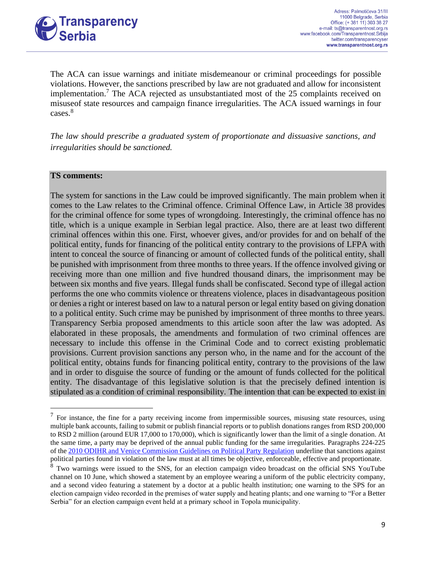

The ACA can issue warnings and initiate misdemeanour or criminal proceedings for possible violations. However, the sanctions prescribed by law are not graduated and allow for inconsistent implementation.<sup>7</sup> The ACA rejected as unsubstantiated most of the 25 complaints received on misuseof state resources and campaign finance irregularities. The ACA issued warnings in four cases.<sup>8</sup>

*The law should prescribe a graduated system of proportionate and dissuasive sanctions, and irregularities should be sanctioned.*

#### **TS comments:**

The system for sanctions in the Law could be improved significantly. The main problem when it comes to the Law relates to the Criminal offence. Criminal Offence Law, in Article 38 provides for the criminal offence for some types of wrongdoing. Interestingly, the criminal offence has no title, which is a unique example in Serbian legal practice. Also, there are at least two different criminal offences within this one. First, whoever gives, and/or provides for and on behalf of the political entity, funds for financing of the political entity contrary to the provisions of LFPA with intent to conceal the source of financing or amount of collected funds of the political entity, shall be punished with imprisonment from three months to three years. If the offence involved giving or receiving more than one million and five hundred thousand dinars, the imprisonment may be between six months and five years. Illegal funds shall be confiscated. Second type of illegal action performs the one who commits violence or threatens violence, places in disadvantageous position or denies a right or interest based on law to a natural person or legal entity based on giving donation to a political entity. Such crime may be punished by imprisonment of three months to three years. Transparency Serbia proposed amendments to this article soon after the law was adopted. As elaborated in these proposals, the amendments and formulation of two criminal offences are necessary to include this offense in the Criminal Code and to correct existing problematic provisions. Current provision sanctions any person who, in the name and for the account of the political entity, obtains funds for financing political entity, contrary to the provisions of the law and in order to disguise the source of funding or the amount of funds collected for the political entity. The disadvantage of this legislative solution is that the precisely defined intention is stipulated as a condition of criminal responsibility. The intention that can be expected to exist in

 $<sup>7</sup>$  For instance, the fine for a party receiving income from impermissible sources, misusing state resources, using</sup> multiple bank accounts, failing to submit or publish financial reports or to publish donations ranges from RSD 200,000 to RSD 2 million (around EUR 17,000 to 170,000), which is significantly lower than the limit of a single donation. At the same time, a party may be deprived of the annual public funding for the same irregularities. Paragraphs 224-225 of the [2010 ODIHR and Venice Commission Guidelines on Political Party Regulation](https://www.osce.org/files/f/documents/2/b/77812.pdf) underline that sanctions against political parties found in violation of the law must at all times be objective, enforceable, effective and proportionate.

<sup>&</sup>lt;sup>8</sup> Two warnings were issued to the SNS, for an election campaign video broadcast on the official SNS YouTube channel on 10 June, which showed a statement by an employee wearing a uniform of the public electricity company, and a second video featuring a statement by a doctor at a public health institution; one warning to the SPS for an election campaign video recorded in the premises of water supply and heating plants; and one warning to "For a Better Serbia" for an election campaign event held at a primary school in Topola municipality.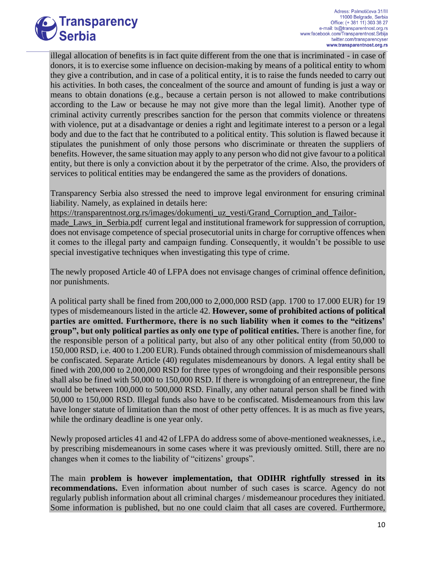

illegal allocation of benefits is in fact quite different from the one that is incriminated - in case of donors, it is to exercise some influence on decision-making by means of a political entity to whom they give a contribution, and in case of a political entity, it is to raise the funds needed to carry out his activities. In both cases, the concealment of the source and amount of funding is just a way or means to obtain donations (e.g., because a certain person is not allowed to make contributions according to the Law or because he may not give more than the legal limit). Another type of criminal activity currently prescribes sanction for the person that commits violence or threatens with violence, put at a disadvantage or denies a right and legitimate interest to a person or a legal body and due to the fact that he contributed to a political entity. This solution is flawed because it stipulates the punishment of only those persons who discriminate or threaten the suppliers of benefits. However, the same situation may apply to any person who did not give favour to a political entity, but there is only a conviction about it by the perpetrator of the crime. Also, the providers of services to political entities may be endangered the same as the providers of donations.

Transparency Serbia also stressed the need to improve legal environment for ensuring criminal liability. Namely, as explained in details here:

[https://transparentnost.org.rs/images/dokumenti\\_uz\\_vesti/Grand\\_Corruption\\_and\\_Tailor-](https://transparentnost.org.rs/images/dokumenti_uz_vesti/Grand_Corruption_and_Tailor-made_Laws_in_Serbia.pdf)

[made\\_Laws\\_in\\_Serbia.pdf](https://transparentnost.org.rs/images/dokumenti_uz_vesti/Grand_Corruption_and_Tailor-made_Laws_in_Serbia.pdf) current legal and institutional framework for suppression of corruption, does not envisage competence of special prosecutorial units in charge for corruptive offences when it comes to the illegal party and campaign funding. Consequently, it wouldn't be possible to use special investigative techniques when investigating this type of crime.

The newly proposed Article 40 of LFPA does not envisage changes of criminal offence definition, nor punishments.

A political party shall be fined from 200,000 to 2,000,000 RSD (app. 1700 to 17.000 EUR) for 19 types of misdemeanours listed in the article 42. **However, some of prohibited actions of political parties are omitted. Furthermore, there is no such liability when it comes to the "citizens' group", but only political parties as only one type of political entities.** There is another fine, for the responsible person of a political party, but also of any other political entity (from 50,000 to 150,000 RSD, i.e. 400 to 1.200 EUR). Funds obtained through commission of misdemeanours shall be confiscated. Separate Article (40) regulates misdemeanours by donors. A legal entity shall be fined with 200,000 to 2,000,000 RSD for three types of wrongdoing and their responsible persons shall also be fined with 50,000 to 150,000 RSD. If there is wrongdoing of an entrepreneur, the fine would be between 100,000 to 500,000 RSD. Finally, any other natural person shall be fined with 50,000 to 150,000 RSD. Illegal funds also have to be confiscated. Misdemeanours from this law have longer statute of limitation than the most of other petty offences. It is as much as five years, while the ordinary deadline is one year only.

Newly proposed articles 41 and 42 of LFPA do address some of above-mentioned weaknesses, i.e., by prescribing misdemeanours in some cases where it was previously omitted. Still, there are no changes when it comes to the liability of "citizens' groups".

The main **problem is however implementation, that ODIHR rightfully stressed in its recommendations.** Even information about number of such cases is scarce. Agency do not regularly publish information about all criminal charges / misdemeanour procedures they initiated. Some information is published, but no one could claim that all cases are covered. Furthermore,